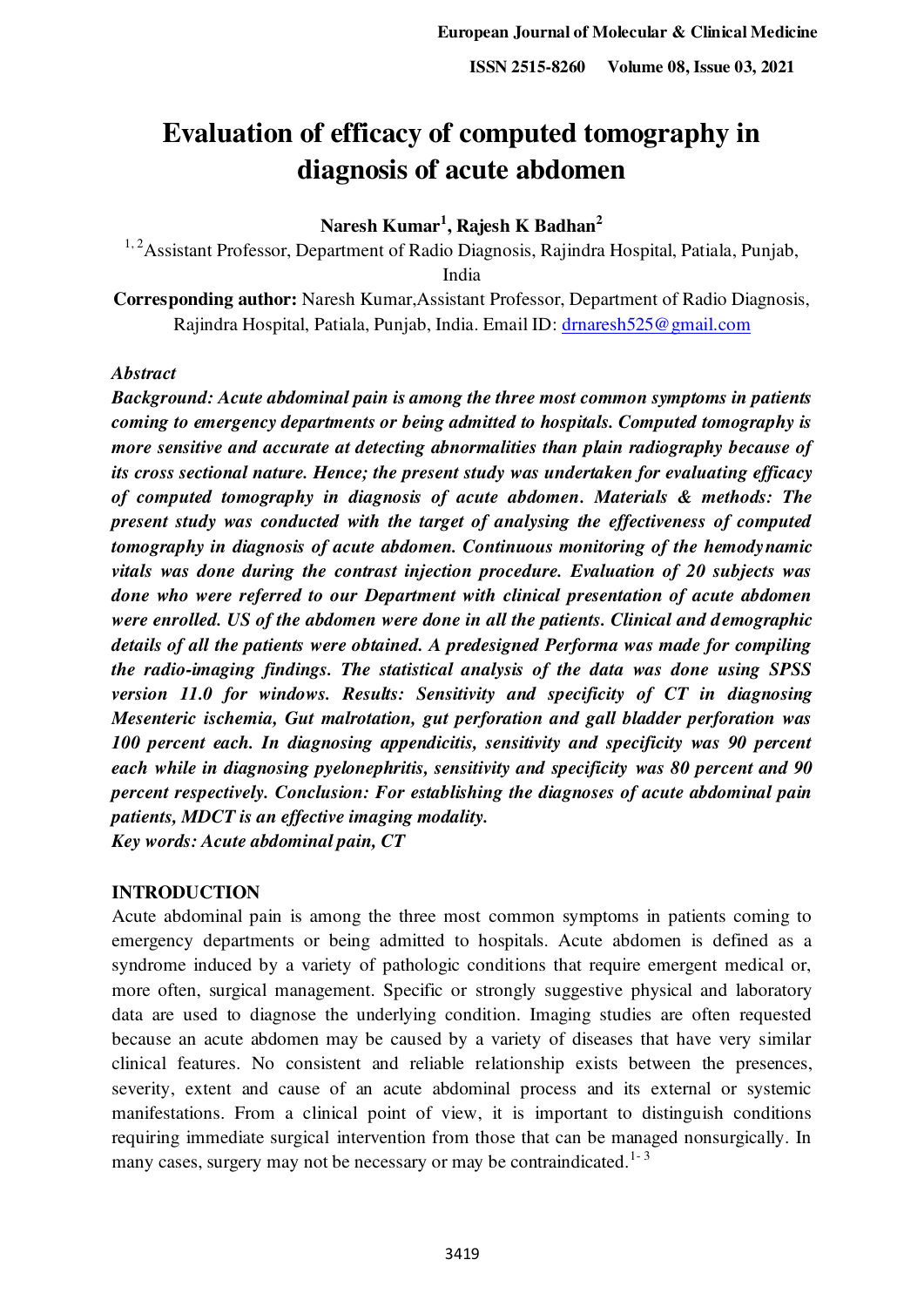# **Evaluation of efficacy of computed tomography in diagnosis of acute abdomen**

## **Naresh Kumar<sup>1</sup> , Rajesh K Badhan<sup>2</sup>**

<sup>1, 2</sup> Assistant Professor, Department of Radio Diagnosis, Rajindra Hospital, Patiala, Punjab, India

**Corresponding author:** Naresh Kumar,Assistant Professor, Department of Radio Diagnosis, Rajindra Hospital, Patiala, Punjab, India. Email ID: drnaresh 525@gmail.com

## *Abstract*

*Background: Acute abdominal pain is among the three most common symptoms in patients coming to emergency departments or being admitted to hospitals. Computed tomography is more sensitive and accurate at detecting abnormalities than plain radiography because of its cross sectional nature. Hence; the present study was undertaken for evaluating efficacy of computed tomography in diagnosis of acute abdomen. Materials & methods: The present study was conducted with the target of analysing the effectiveness of computed tomography in diagnosis of acute abdomen. Continuous monitoring of the hemodynamic vitals was done during the contrast injection procedure. Evaluation of 20 subjects was done who were referred to our Department with clinical presentation of acute abdomen were enrolled. US of the abdomen were done in all the patients. Clinical and demographic details of all the patients were obtained. A predesigned Performa was made for compiling the radio-imaging findings. The statistical analysis of the data was done using SPSS version 11.0 for windows. Results: Sensitivity and specificity of CT in diagnosing Mesenteric ischemia, Gut malrotation, gut perforation and gall bladder perforation was 100 percent each. In diagnosing appendicitis, sensitivity and specificity was 90 percent each while in diagnosing pyelonephritis, sensitivity and specificity was 80 percent and 90 percent respectively. Conclusion: For establishing the diagnoses of acute abdominal pain patients, MDCT is an effective imaging modality. Key words: Acute abdominal pain, CT* 

### **INTRODUCTION**

Acute abdominal pain is among the three most common symptoms in patients coming to emergency departments or being admitted to hospitals. Acute abdomen is defined as a syndrome induced by a variety of pathologic conditions that require emergent medical or, more often, surgical management. Specific or strongly suggestive physical and laboratory data are used to diagnose the underlying condition. Imaging studies are often requested because an acute abdomen may be caused by a variety of diseases that have very similar clinical features. No consistent and reliable relationship exists between the presences, severity, extent and cause of an acute abdominal process and its external or systemic manifestations. From a clinical point of view, it is important to distinguish conditions requiring immediate surgical intervention from those that can be managed nonsurgically. In many cases, surgery may not be necessary or may be contraindicated.<sup>1-3</sup>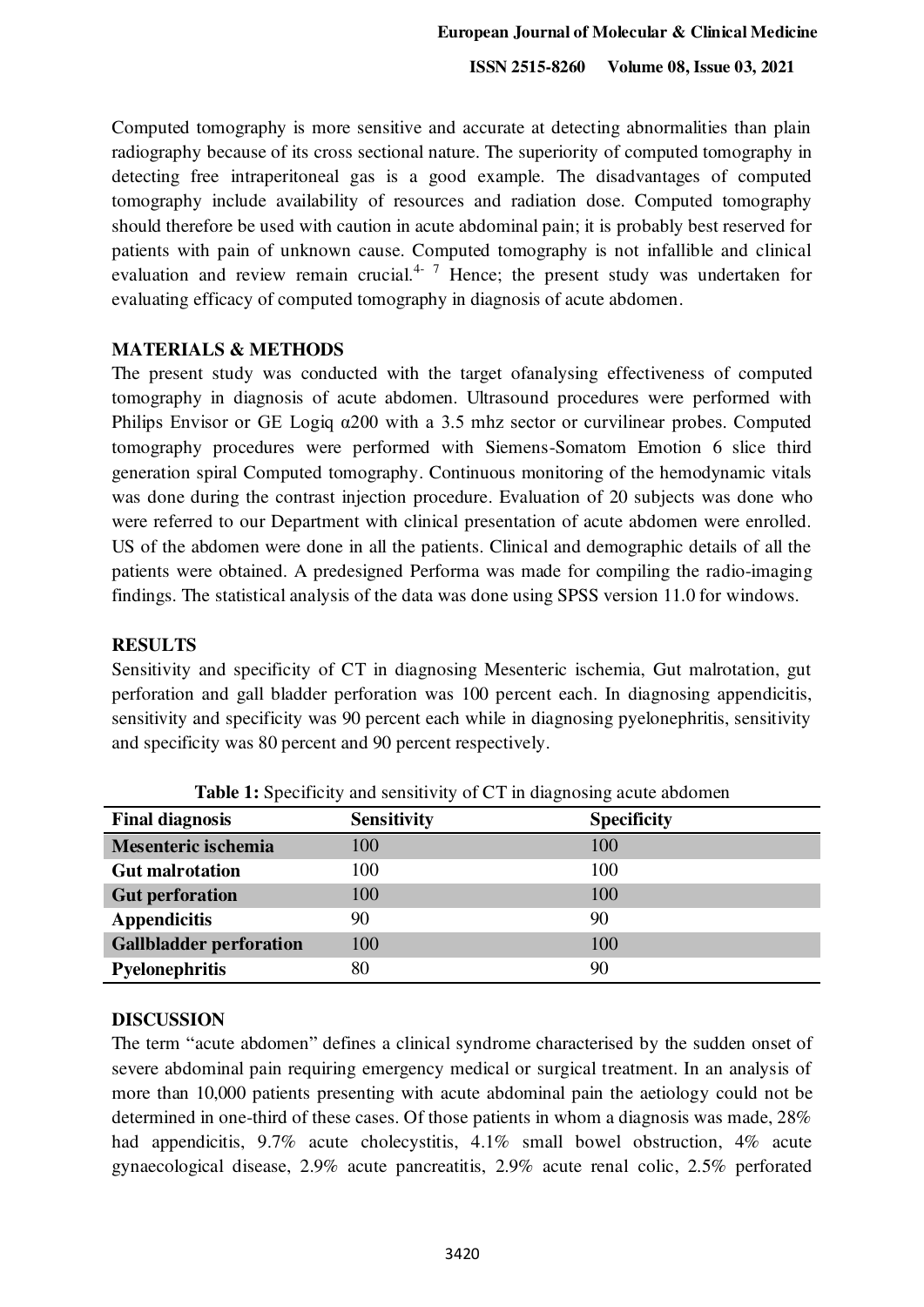**ISSN 2515-8260 Volume 08, Issue 03, 2021**

Computed tomography is more sensitive and accurate at detecting abnormalities than plain radiography because of its cross sectional nature. The superiority of computed tomography in detecting free intraperitoneal gas is a good example. The disadvantages of computed tomography include availability of resources and radiation dose. Computed tomography should therefore be used with caution in acute abdominal pain; it is probably best reserved for patients with pain of unknown cause. Computed tomography is not infallible and clinical evaluation and review remain crucial.<sup>4-7</sup> Hence; the present study was undertaken for evaluating efficacy of computed tomography in diagnosis of acute abdomen.

#### **MATERIALS & METHODS**

The present study was conducted with the target ofanalysing effectiveness of computed tomography in diagnosis of acute abdomen. Ultrasound procedures were performed with Philips Envisor or GE Logiq  $\alpha$ 200 with a 3.5 mhz sector or curvilinear probes. Computed tomography procedures were performed with Siemens-Somatom Emotion 6 slice third generation spiral Computed tomography. Continuous monitoring of the hemodynamic vitals was done during the contrast injection procedure. Evaluation of 20 subjects was done who were referred to our Department with clinical presentation of acute abdomen were enrolled. US of the abdomen were done in all the patients. Clinical and demographic details of all the patients were obtained. A predesigned Performa was made for compiling the radio-imaging findings. The statistical analysis of the data was done using SPSS version 11.0 for windows.

#### **RESULTS**

Sensitivity and specificity of CT in diagnosing Mesenteric ischemia, Gut malrotation, gut perforation and gall bladder perforation was 100 percent each. In diagnosing appendicitis, sensitivity and specificity was 90 percent each while in diagnosing pyelonephritis, sensitivity and specificity was 80 percent and 90 percent respectively.

| <b>Final diagnosis</b>         | <b>Sensitivity</b> | <b>Specificity</b> |
|--------------------------------|--------------------|--------------------|
| Mesenteric ischemia            | 100                | 100                |
| <b>Gut malrotation</b>         | 100                | 100                |
| <b>Gut perforation</b>         | 100                | 100                |
| <b>Appendicitis</b>            | 90                 | 90                 |
| <b>Gallbladder perforation</b> | 100                | 100                |
| <b>Pyelonephritis</b>          | 80                 | 90                 |

**Table 1:** Specificity and sensitivity of CT in diagnosing acute abdomen

#### **DISCUSSION**

The term "acute abdomen" defines a clinical syndrome characterised by the sudden onset of severe abdominal pain requiring emergency medical or surgical treatment. In an analysis of more than 10,000 patients presenting with acute abdominal pain the aetiology could not be determined in one-third of these cases. Of those patients in whom a diagnosis was made, 28% had appendicitis, 9.7% acute cholecystitis, 4.1% small bowel obstruction, 4% acute gynaecological disease, 2.9% acute pancreatitis, 2.9% acute renal colic, 2.5% perforated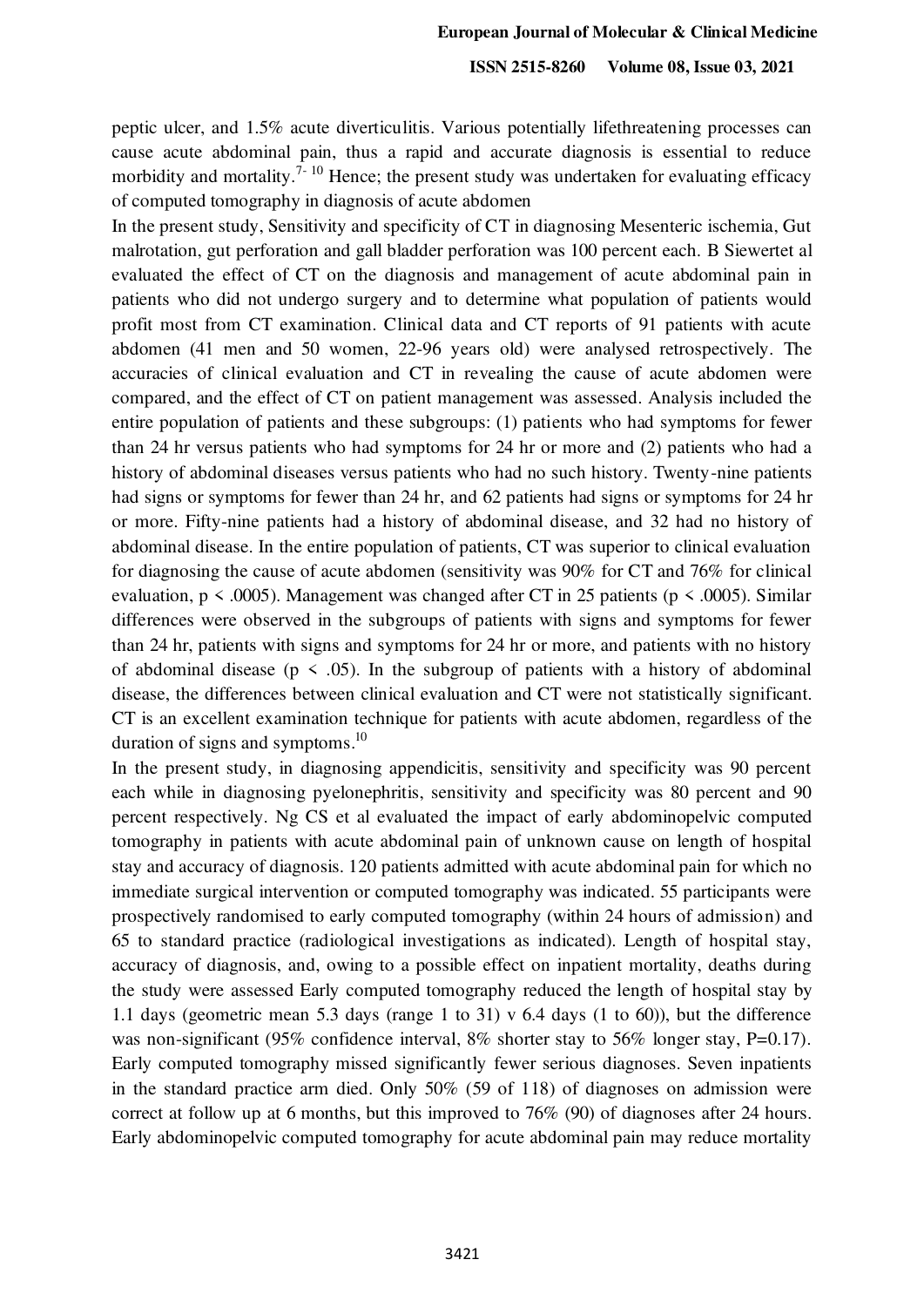**ISSN 2515-8260 Volume 08, Issue 03, 2021**

peptic ulcer, and 1.5% acute diverticulitis. Various potentially lifethreatening processes can cause acute abdominal pain, thus a rapid and accurate diagnosis is essential to reduce morbidity and mortality.<sup>7-10</sup> Hence; the present study was undertaken for evaluating efficacy of computed tomography in diagnosis of acute abdomen

In the present study, Sensitivity and specificity of CT in diagnosing Mesenteric ischemia, Gut malrotation, gut perforation and gall bladder perforation was 100 percent each. B Siewertet al evaluated the effect of CT on the diagnosis and management of acute abdominal pain in patients who did not undergo surgery and to determine what population of patients would profit most from CT examination. Clinical data and CT reports of 91 patients with acute abdomen (41 men and 50 women, 22-96 years old) were analysed retrospectively. The accuracies of clinical evaluation and CT in revealing the cause of acute abdomen were compared, and the effect of CT on patient management was assessed. Analysis included the entire population of patients and these subgroups: (1) patients who had symptoms for fewer than 24 hr versus patients who had symptoms for 24 hr or more and (2) patients who had a history of abdominal diseases versus patients who had no such history. Twenty-nine patients had signs or symptoms for fewer than 24 hr, and 62 patients had signs or symptoms for 24 hr or more. Fifty-nine patients had a history of abdominal disease, and 32 had no history of abdominal disease. In the entire population of patients, CT was superior to clinical evaluation for diagnosing the cause of acute abdomen (sensitivity was 90% for CT and 76% for clinical evaluation,  $p \le 0.0005$ ). Management was changed after CT in 25 patients ( $p \le 0.0005$ ). Similar differences were observed in the subgroups of patients with signs and symptoms for fewer than 24 hr, patients with signs and symptoms for 24 hr or more, and patients with no history of abdominal disease ( $p \le 0.05$ ). In the subgroup of patients with a history of abdominal disease, the differences between clinical evaluation and CT were not statistically significant. CT is an excellent examination technique for patients with acute abdomen, regardless of the duration of signs and symptoms.<sup>10</sup>

In the present study, in diagnosing appendicitis, sensitivity and specificity was 90 percent each while in diagnosing pyelonephritis, sensitivity and specificity was 80 percent and 90 percent respectively. Ng CS et al evaluated the impact of early abdominopelvic computed tomography in patients with acute abdominal pain of unknown cause on length of hospital stay and accuracy of diagnosis. 120 patients admitted with acute abdominal pain for which no immediate surgical intervention or computed tomography was indicated. 55 participants were prospectively randomised to early computed tomography (within 24 hours of admission) and 65 to standard practice (radiological investigations as indicated). Length of hospital stay, accuracy of diagnosis, and, owing to a possible effect on inpatient mortality, deaths during the study were assessed Early computed tomography reduced the length of hospital stay by 1.1 days (geometric mean 5.3 days (range 1 to 31) v 6.4 days (1 to 60)), but the difference was non-significant (95% confidence interval, 8% shorter stay to 56% longer stay, P=0.17). Early computed tomography missed significantly fewer serious diagnoses. Seven inpatients in the standard practice arm died. Only 50% (59 of 118) of diagnoses on admission were correct at follow up at 6 months, but this improved to 76% (90) of diagnoses after 24 hours. Early abdominopelvic computed tomography for acute abdominal pain may reduce mortality